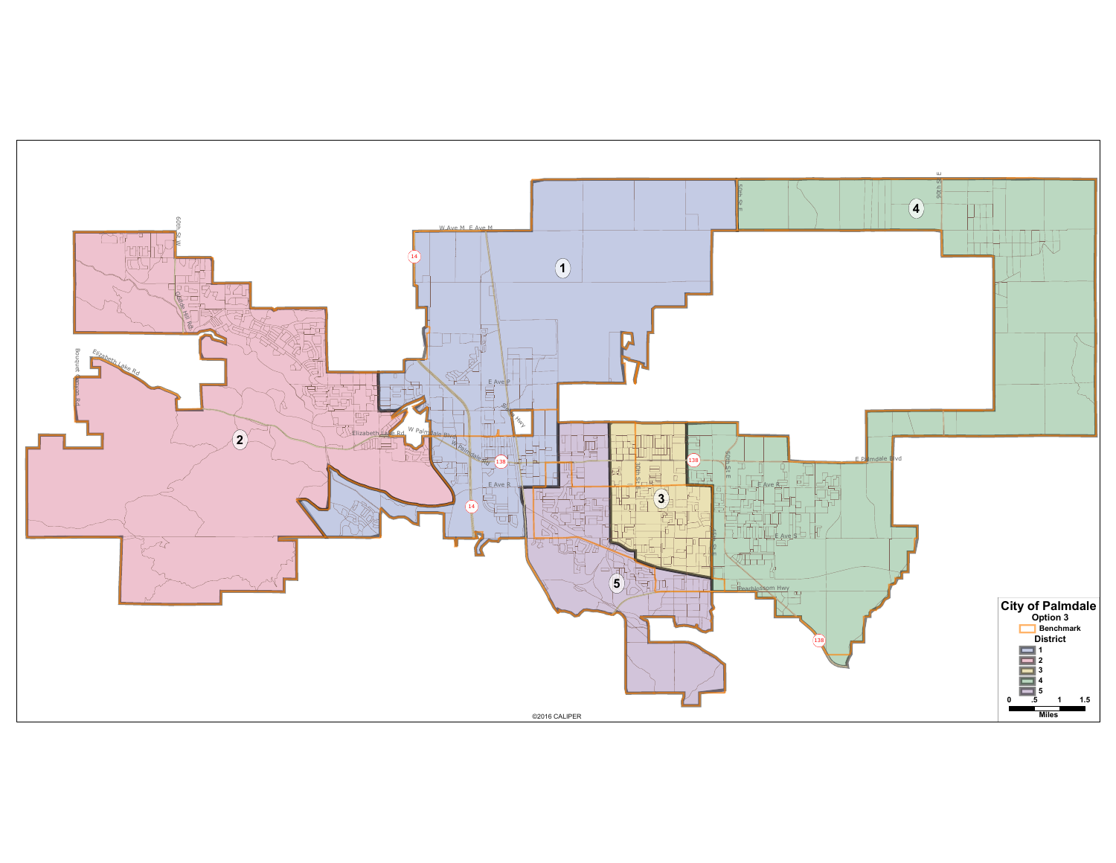